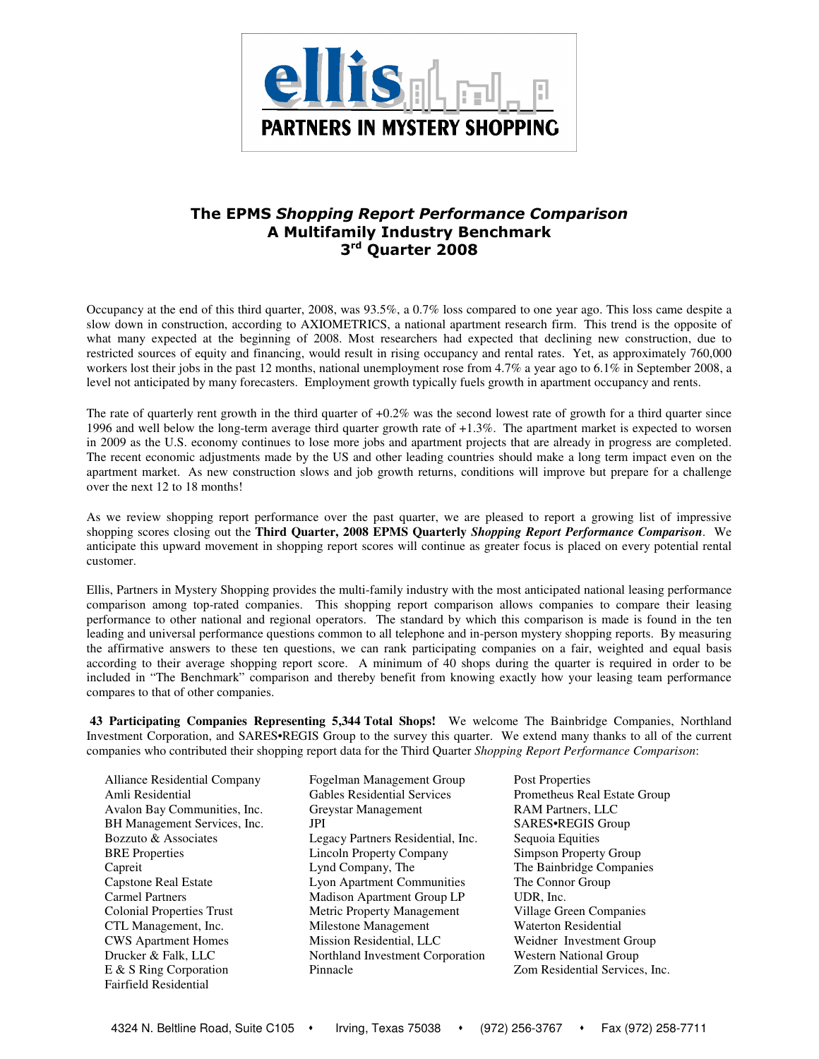

## The EPMS Shopping Report Performance Comparison A Multifamily Industry Benchmark 3<sup>rd</sup> Quarter 2008

Occupancy at the end of this third quarter, 2008, was 93.5%, a 0.7% loss compared to one year ago. This loss came despite a slow down in construction, according to AXIOMETRICS, a national apartment research firm. This trend is the opposite of what many expected at the beginning of 2008. Most researchers had expected that declining new construction, due to restricted sources of equity and financing, would result in rising occupancy and rental rates. Yet, as approximately 760,000 workers lost their jobs in the past 12 months, national unemployment rose from 4.7% a year ago to 6.1% in September 2008, a level not anticipated by many forecasters. Employment growth typically fuels growth in apartment occupancy and rents.

The rate of quarterly rent growth in the third quarter of  $+0.2\%$  was the second lowest rate of growth for a third quarter since 1996 and well below the long-term average third quarter growth rate of +1.3%. The apartment market is expected to worsen in 2009 as the U.S. economy continues to lose more jobs and apartment projects that are already in progress are completed. The recent economic adjustments made by the US and other leading countries should make a long term impact even on the apartment market. As new construction slows and job growth returns, conditions will improve but prepare for a challenge over the next 12 to 18 months!

As we review shopping report performance over the past quarter, we are pleased to report a growing list of impressive shopping scores closing out the **Third Quarter, 2008 EPMS Quarterly** *Shopping Report Performance Comparison*. We anticipate this upward movement in shopping report scores will continue as greater focus is placed on every potential rental customer.

Ellis, Partners in Mystery Shopping provides the multi-family industry with the most anticipated national leasing performance comparison among top-rated companies. This shopping report comparison allows companies to compare their leasing performance to other national and regional operators. The standard by which this comparison is made is found in the ten leading and universal performance questions common to all telephone and in-person mystery shopping reports. By measuring the affirmative answers to these ten questions, we can rank participating companies on a fair, weighted and equal basis according to their average shopping report score. A minimum of 40 shops during the quarter is required in order to be included in "The Benchmark" comparison and thereby benefit from knowing exactly how your leasing team performance compares to that of other companies.

**43 Participating Companies Representing 5,344 Total Shops!** We welcome The Bainbridge Companies, Northland Investment Corporation, and SARES•REGIS Group to the survey this quarter. We extend many thanks to all of the current companies who contributed their shopping report data for the Third Quarter *Shopping Report Performance Comparison*:

| Alliance Residential Company     | Fogelman Management Group          | <b>Post Properties</b>         |
|----------------------------------|------------------------------------|--------------------------------|
| Amli Residential                 | <b>Gables Residential Services</b> | Prometheus Real Estate Group   |
| Avalon Bay Communities, Inc.     | Greystar Management                | RAM Partners, LLC              |
| BH Management Services, Inc.     | JPI                                | SARES.REGIS Group              |
| Bozzuto & Associates             | Legacy Partners Residential, Inc.  | Sequoia Equities               |
| <b>BRE</b> Properties            | Lincoln Property Company           | Simpson Property Group         |
| Capreit                          | Lynd Company, The                  | The Bainbridge Companies       |
| <b>Capstone Real Estate</b>      | <b>Lyon Apartment Communities</b>  | The Connor Group               |
| <b>Carmel Partners</b>           | <b>Madison Apartment Group LP</b>  | UDR, Inc.                      |
| <b>Colonial Properties Trust</b> | Metric Property Management         | Village Green Companies        |
| CTL Management, Inc.             | Milestone Management               | <b>Waterton Residential</b>    |
| <b>CWS</b> Apartment Homes       | Mission Residential, LLC           | Weidner Investment Group       |
| Drucker & Falk, LLC              | Northland Investment Corporation   | <b>Western National Group</b>  |
| $E \& S$ Ring Corporation        | Pinnacle                           | Zom Residential Services, Inc. |
| Fairfield Residential            |                                    |                                |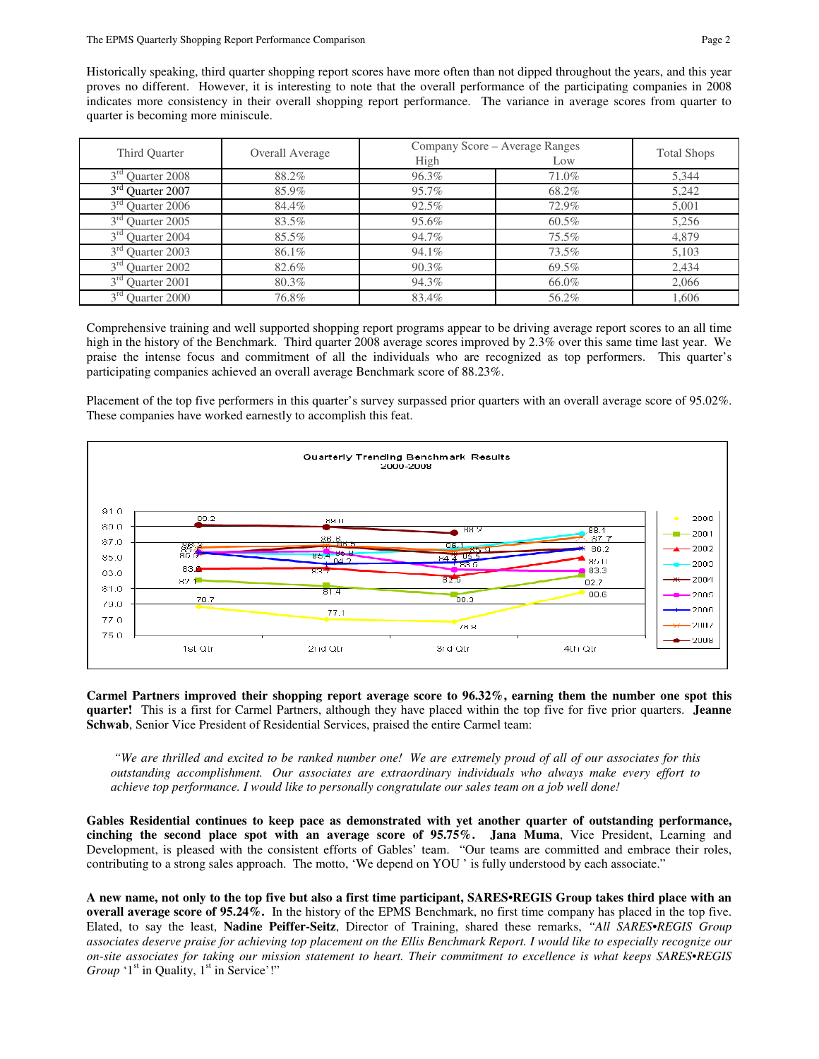Historically speaking, third quarter shopping report scores have more often than not dipped throughout the years, and this year proves no different. However, it is interesting to note that the overall performance of the participating companies in 2008 indicates more consistency in their overall shopping report performance. The variance in average scores from quarter to quarter is becoming more miniscule.

| Third Quarter                   |                 | Company Score – Average Ranges | <b>Total Shops</b> |       |
|---------------------------------|-----------------|--------------------------------|--------------------|-------|
|                                 | Overall Average | High                           | Low                |       |
| $3rd$ Quarter 2008              | 88.2%           | 96.3%                          | 71.0%              | 5.344 |
| 3 <sup>rd</sup> Quarter 2007    | 85.9%           | 95.7%                          | 68.2%              | 5,242 |
| 3 <sup>rd</sup><br>Quarter 2006 | 84.4%           | 92.5%                          | 72.9%              | 5.001 |
| 3 <sup>rd</sup> Quarter 2005    | 83.5%           | 95.6%                          | 60.5%              | 5,256 |
| 3 <sup>rd</sup> Ouarter 2004    | 85.5%           | 94.7%                          | 75.5%              | 4,879 |
| $3rd$ Quarter 2003              | 86.1%           | 94.1%                          | 73.5%              | 5.103 |
| $3^{rd}$<br><b>Ouarter 2002</b> | 82.6%           | $90.3\%$                       | 69.5%              | 2.434 |
| 3 <sup>rd</sup> Quarter 2001    | 80.3%           | 94.3%                          | 66.0%              | 2.066 |
| 3 <sup>rd</sup> Quarter 2000    | 76.8%           | 83.4%                          | 56.2%              | 1.606 |

Comprehensive training and well supported shopping report programs appear to be driving average report scores to an all time high in the history of the Benchmark. Third quarter 2008 average scores improved by 2.3% over this same time last year. We praise the intense focus and commitment of all the individuals who are recognized as top performers. This quarter's participating companies achieved an overall average Benchmark score of 88.23%.

Placement of the top five performers in this quarter's survey surpassed prior quarters with an overall average score of 95.02%. These companies have worked earnestly to accomplish this feat.



**Carmel Partners improved their shopping report average score to 96.32%, earning them the number one spot this quarter!** This is a first for Carmel Partners, although they have placed within the top five for five prior quarters. **Jeanne Schwab**, Senior Vice President of Residential Services, praised the entire Carmel team:

 *"We are thrilled and excited to be ranked number one! We are extremely proud of all of our associates for this outstanding accomplishment. Our associates are extraordinary individuals who always make every effort to achieve top performance. I would like to personally congratulate our sales team on a job well done!* 

**Gables Residential continues to keep pace as demonstrated with yet another quarter of outstanding performance, cinching the second place spot with an average score of 95.75%. Jana Muma**, Vice President, Learning and Development, is pleased with the consistent efforts of Gables' team. "Our teams are committed and embrace their roles, contributing to a strong sales approach. The motto, 'We depend on YOU ' is fully understood by each associate."

**A new name, not only to the top five but also a first time participant, SARES•REGIS Group takes third place with an overall average score of 95.24%.** In the history of the EPMS Benchmark, no first time company has placed in the top five. Elated, to say the least, **Nadine Peiffer-Seitz**, Director of Training, shared these remarks, *"All SARES•REGIS Group associates deserve praise for achieving top placement on the Ellis Benchmark Report. I would like to especially recognize our on-site associates for taking our mission statement to heart. Their commitment to excellence is what keeps SARES•REGIS Group*  $1<sup>st</sup>$  in Quality,  $1<sup>st</sup>$  in Service'!"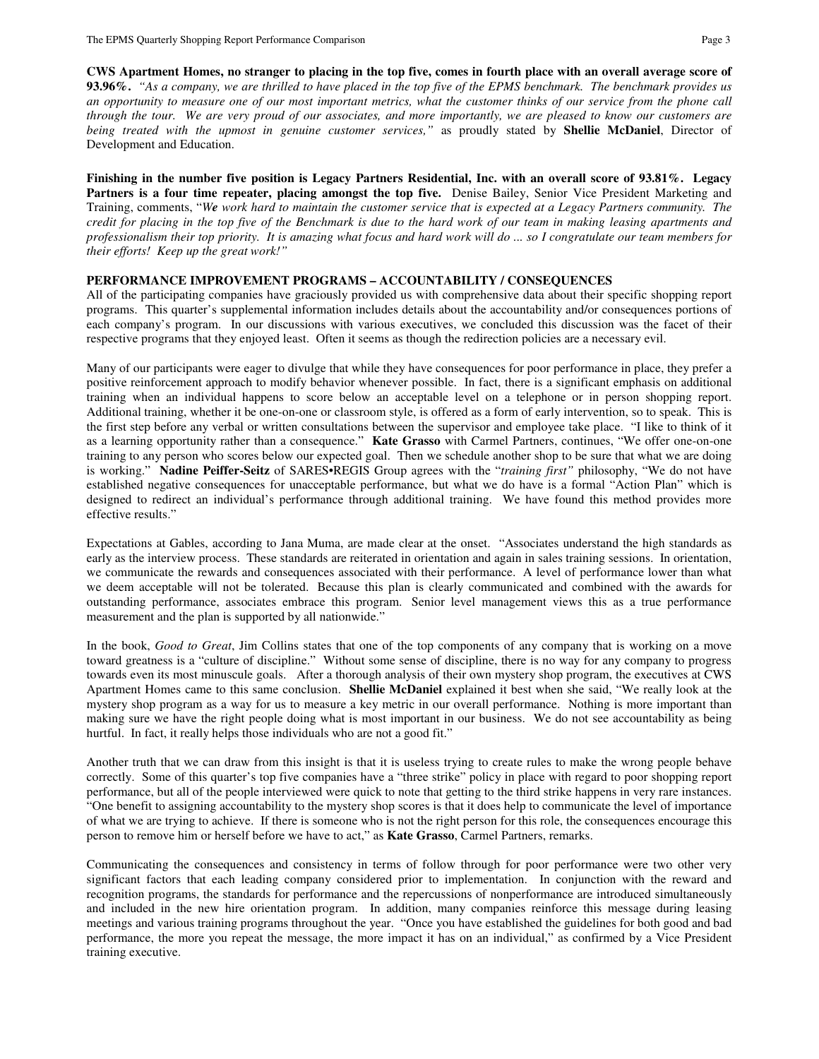**CWS Apartment Homes, no stranger to placing in the top five, comes in fourth place with an overall average score of 93.96%.** *"As a company, we are thrilled to have placed in the top five of the EPMS benchmark. The benchmark provides us an opportunity to measure one of our most important metrics, what the customer thinks of our service from the phone call through the tour. We are very proud of our associates, and more importantly, we are pleased to know our customers are being treated with the upmost in genuine customer services,"* as proudly stated by **Shellie McDaniel**, Director of Development and Education.

**Finishing in the number five position is Legacy Partners Residential, Inc. with an overall score of 93.81%. Legacy Partners is a four time repeater, placing amongst the top five.** Denise Bailey, Senior Vice President Marketing and Training, comments, "*We work hard to maintain the customer service that is expected at a Legacy Partners community. The credit for placing in the top five of the Benchmark is due to the hard work of our team in making leasing apartments and professionalism their top priority. It is amazing what focus and hard work will do ... so I congratulate our team members for their efforts! Keep up the great work!"*

#### **PERFORMANCE IMPROVEMENT PROGRAMS – ACCOUNTABILITY / CONSEQUENCES**

All of the participating companies have graciously provided us with comprehensive data about their specific shopping report programs. This quarter's supplemental information includes details about the accountability and/or consequences portions of each company's program. In our discussions with various executives, we concluded this discussion was the facet of their respective programs that they enjoyed least. Often it seems as though the redirection policies are a necessary evil.

Many of our participants were eager to divulge that while they have consequences for poor performance in place, they prefer a positive reinforcement approach to modify behavior whenever possible. In fact, there is a significant emphasis on additional training when an individual happens to score below an acceptable level on a telephone or in person shopping report. Additional training, whether it be one-on-one or classroom style, is offered as a form of early intervention, so to speak. This is the first step before any verbal or written consultations between the supervisor and employee take place. "I like to think of it as a learning opportunity rather than a consequence." **Kate Grasso** with Carmel Partners, continues, "We offer one-on-one training to any person who scores below our expected goal. Then we schedule another shop to be sure that what we are doing is working." **Nadine Peiffer-Seitz** of SARES•REGIS Group agrees with the "*training first"* philosophy, "We do not have established negative consequences for unacceptable performance, but what we do have is a formal "Action Plan" which is designed to redirect an individual's performance through additional training. We have found this method provides more effective results."

Expectations at Gables, according to Jana Muma, are made clear at the onset. "Associates understand the high standards as early as the interview process. These standards are reiterated in orientation and again in sales training sessions. In orientation, we communicate the rewards and consequences associated with their performance. A level of performance lower than what we deem acceptable will not be tolerated. Because this plan is clearly communicated and combined with the awards for outstanding performance, associates embrace this program. Senior level management views this as a true performance measurement and the plan is supported by all nationwide."

In the book, *Good to Great*, Jim Collins states that one of the top components of any company that is working on a move toward greatness is a "culture of discipline." Without some sense of discipline, there is no way for any company to progress towards even its most minuscule goals. After a thorough analysis of their own mystery shop program, the executives at CWS Apartment Homes came to this same conclusion. **Shellie McDaniel** explained it best when she said, "We really look at the mystery shop program as a way for us to measure a key metric in our overall performance. Nothing is more important than making sure we have the right people doing what is most important in our business. We do not see accountability as being hurtful. In fact, it really helps those individuals who are not a good fit."

Another truth that we can draw from this insight is that it is useless trying to create rules to make the wrong people behave correctly. Some of this quarter's top five companies have a "three strike" policy in place with regard to poor shopping report performance, but all of the people interviewed were quick to note that getting to the third strike happens in very rare instances. "One benefit to assigning accountability to the mystery shop scores is that it does help to communicate the level of importance of what we are trying to achieve. If there is someone who is not the right person for this role, the consequences encourage this person to remove him or herself before we have to act," as **Kate Grasso**, Carmel Partners, remarks.

Communicating the consequences and consistency in terms of follow through for poor performance were two other very significant factors that each leading company considered prior to implementation. In conjunction with the reward and recognition programs, the standards for performance and the repercussions of nonperformance are introduced simultaneously and included in the new hire orientation program. In addition, many companies reinforce this message during leasing meetings and various training programs throughout the year. "Once you have established the guidelines for both good and bad performance, the more you repeat the message, the more impact it has on an individual," as confirmed by a Vice President training executive.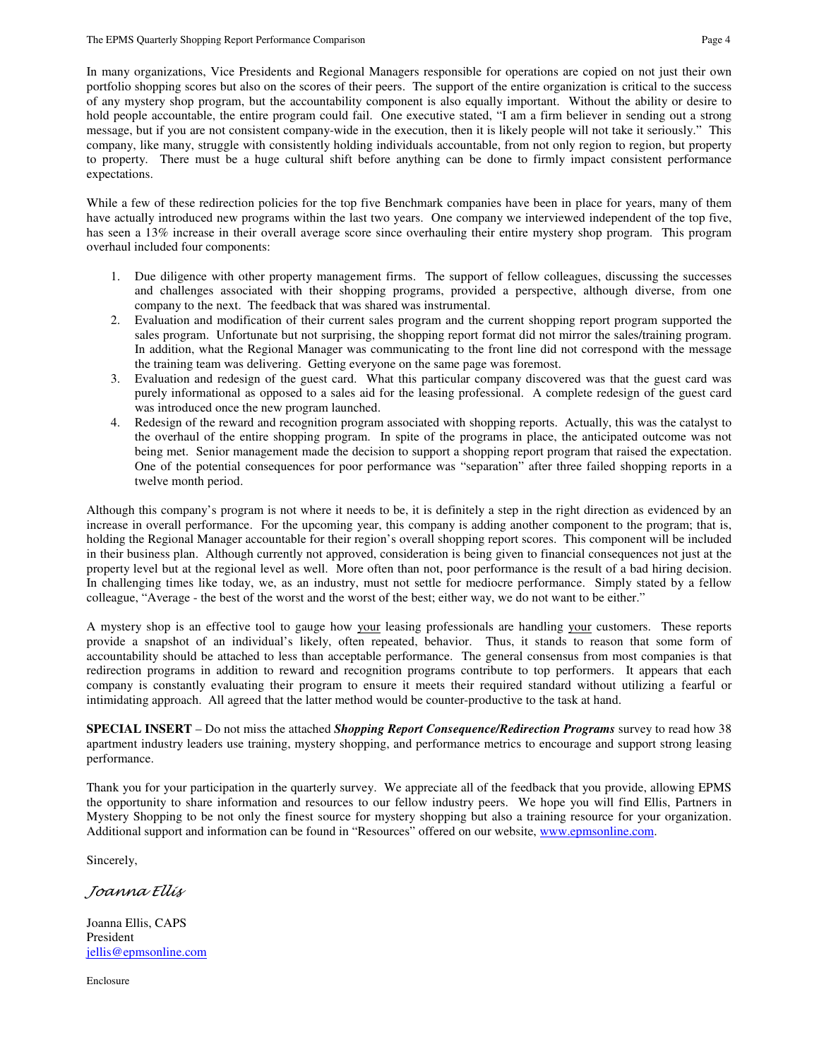In many organizations, Vice Presidents and Regional Managers responsible for operations are copied on not just their own portfolio shopping scores but also on the scores of their peers. The support of the entire organization is critical to the success of any mystery shop program, but the accountability component is also equally important. Without the ability or desire to hold people accountable, the entire program could fail. One executive stated, "I am a firm believer in sending out a strong message, but if you are not consistent company-wide in the execution, then it is likely people will not take it seriously." This company, like many, struggle with consistently holding individuals accountable, from not only region to region, but property to property. There must be a huge cultural shift before anything can be done to firmly impact consistent performance expectations.

While a few of these redirection policies for the top five Benchmark companies have been in place for years, many of them have actually introduced new programs within the last two years. One company we interviewed independent of the top five, has seen a 13% increase in their overall average score since overhauling their entire mystery shop program. This program overhaul included four components:

- 1. Due diligence with other property management firms. The support of fellow colleagues, discussing the successes and challenges associated with their shopping programs, provided a perspective, although diverse, from one company to the next. The feedback that was shared was instrumental.
- 2. Evaluation and modification of their current sales program and the current shopping report program supported the sales program. Unfortunate but not surprising, the shopping report format did not mirror the sales/training program. In addition, what the Regional Manager was communicating to the front line did not correspond with the message the training team was delivering. Getting everyone on the same page was foremost.
- 3. Evaluation and redesign of the guest card. What this particular company discovered was that the guest card was purely informational as opposed to a sales aid for the leasing professional. A complete redesign of the guest card was introduced once the new program launched.
- 4. Redesign of the reward and recognition program associated with shopping reports. Actually, this was the catalyst to the overhaul of the entire shopping program. In spite of the programs in place, the anticipated outcome was not being met. Senior management made the decision to support a shopping report program that raised the expectation. One of the potential consequences for poor performance was "separation" after three failed shopping reports in a twelve month period.

Although this company's program is not where it needs to be, it is definitely a step in the right direction as evidenced by an increase in overall performance. For the upcoming year, this company is adding another component to the program; that is, holding the Regional Manager accountable for their region's overall shopping report scores. This component will be included in their business plan. Although currently not approved, consideration is being given to financial consequences not just at the property level but at the regional level as well. More often than not, poor performance is the result of a bad hiring decision. In challenging times like today, we, as an industry, must not settle for mediocre performance. Simply stated by a fellow colleague, "Average - the best of the worst and the worst of the best; either way, we do not want to be either."

A mystery shop is an effective tool to gauge how your leasing professionals are handling your customers. These reports provide a snapshot of an individual's likely, often repeated, behavior. Thus, it stands to reason that some form of accountability should be attached to less than acceptable performance. The general consensus from most companies is that redirection programs in addition to reward and recognition programs contribute to top performers. It appears that each company is constantly evaluating their program to ensure it meets their required standard without utilizing a fearful or intimidating approach. All agreed that the latter method would be counter-productive to the task at hand.

**SPECIAL INSERT** – Do not miss the attached *Shopping Report Consequence/Redirection Programs* survey to read how 38 apartment industry leaders use training, mystery shopping, and performance metrics to encourage and support strong leasing performance.

Thank you for your participation in the quarterly survey. We appreciate all of the feedback that you provide, allowing EPMS the opportunity to share information and resources to our fellow industry peers. We hope you will find Ellis, Partners in Mystery Shopping to be not only the finest source for mystery shopping but also a training resource for your organization. Additional support and information can be found in "Resources" offered on our website, www.epmsonline.com.

Sincerely,

Joanna Ellis

Joanna Ellis, CAPS President jellis@epmsonline.com

Enclosure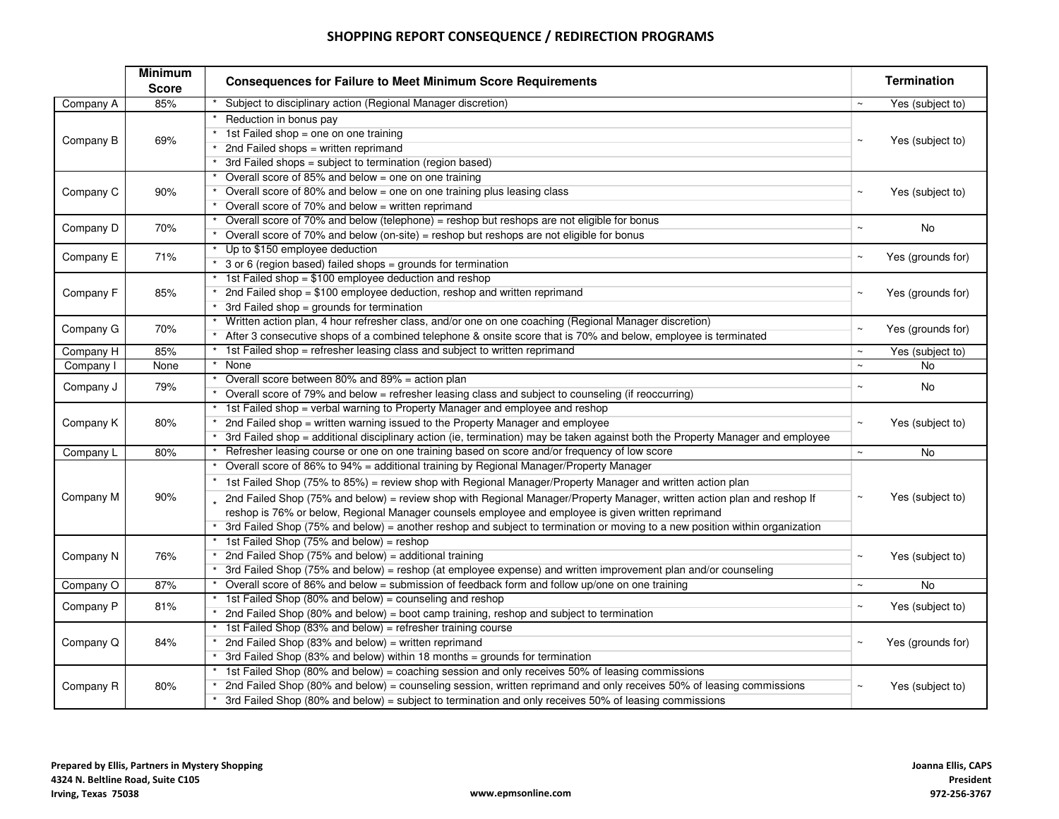# SHOPPING REPORT CONSEQUENCE / REDIRECTION PROGRAMS

|           | <b>Minimum</b><br><b>Score</b> | <b>Consequences for Failure to Meet Minimum Score Requirements</b>                                                                                                                                                                                                                                                                                                                                                                                                                                                                                                  |             | <b>Termination</b> |
|-----------|--------------------------------|---------------------------------------------------------------------------------------------------------------------------------------------------------------------------------------------------------------------------------------------------------------------------------------------------------------------------------------------------------------------------------------------------------------------------------------------------------------------------------------------------------------------------------------------------------------------|-------------|--------------------|
| Company A | 85%                            | Subject to disciplinary action (Regional Manager discretion)                                                                                                                                                                                                                                                                                                                                                                                                                                                                                                        | $\thicksim$ | Yes (subject to)   |
| Company B | 69%                            | Reduction in bonus pay<br>1st Failed shop = one on one training                                                                                                                                                                                                                                                                                                                                                                                                                                                                                                     | $\sim$      | Yes (subject to)   |
|           |                                | 2nd Failed shops = written reprimand<br>3rd Failed shops = subject to termination (region based)                                                                                                                                                                                                                                                                                                                                                                                                                                                                    |             |                    |
| Company C | 90%                            | Overall score of $85\%$ and below = one on one training<br>Overall score of 80% and below = one on one training plus leasing class<br>Overall score of $70\%$ and below = written reprimand                                                                                                                                                                                                                                                                                                                                                                         | $\thicksim$ | Yes (subject to)   |
| Company D | 70%                            | Overall score of 70% and below (telephone) = reshop but reshops are not eligible for bonus<br>Overall score of 70% and below (on-site) = reshop but reshops are not eligible for bonus                                                                                                                                                                                                                                                                                                                                                                              | $\thicksim$ | No                 |
| Company E | 71%                            | Up to \$150 employee deduction<br>3 or 6 (region based) failed shops = grounds for termination<br>1st Failed shop = \$100 employee deduction and reshop                                                                                                                                                                                                                                                                                                                                                                                                             | $\sim$      | Yes (grounds for)  |
| Company F | 85%                            | 2nd Failed shop = $$100$ employee deduction, reshop and written reprimand<br>3rd Failed shop = grounds for termination                                                                                                                                                                                                                                                                                                                                                                                                                                              | $\sim$      | Yes (grounds for)  |
| Company G | 70%                            | Written action plan, 4 hour refresher class, and/or one on one coaching (Regional Manager discretion)<br>After 3 consecutive shops of a combined telephone & onsite score that is 70% and below, employee is terminated                                                                                                                                                                                                                                                                                                                                             | $\sim$      | Yes (grounds for)  |
| Company H | 85%                            | 1st Failed shop = refresher leasing class and subject to written reprimand                                                                                                                                                                                                                                                                                                                                                                                                                                                                                          | $\sim$      | Yes (subject to)   |
| Company I | None                           | None                                                                                                                                                                                                                                                                                                                                                                                                                                                                                                                                                                | $\sim$      | No                 |
| Company J | 79%                            | Overall score between 80% and 89% = action plan<br>Overall score of 79% and below = refresher leasing class and subject to counseling (if reoccurring)                                                                                                                                                                                                                                                                                                                                                                                                              | $\thicksim$ | No                 |
| Company K | 80%                            | 1st Failed shop = verbal warning to Property Manager and employee and reshop<br>2nd Failed shop = written warning issued to the Property Manager and employee<br>3rd Failed shop = additional disciplinary action (ie, termination) may be taken against both the Property Manager and employee                                                                                                                                                                                                                                                                     | $\sim$      | Yes (subject to)   |
| Company L | 80%                            | Refresher leasing course or one on one training based on score and/or frequency of low score                                                                                                                                                                                                                                                                                                                                                                                                                                                                        | $\sim$      | No                 |
| Company M | 90%                            | Overall score of 86% to 94% = additional training by Regional Manager/Property Manager<br>1st Failed Shop (75% to 85%) = review shop with Regional Manager/Property Manager and written action plan<br>2nd Failed Shop (75% and below) = review shop with Regional Manager/Property Manager, written action plan and reshop If<br>reshop is 76% or below, Regional Manager counsels employee and employee is given written reprimand<br>3rd Failed Shop (75% and below) = another reshop and subject to termination or moving to a new position within organization | $\sim$      | Yes (subject to)   |
| Company N | 76%                            | 1st Failed Shop (75% and below) = reshop<br>2nd Failed Shop (75% and below) = additional training<br>3rd Failed Shop (75% and below) = reshop (at employee expense) and written improvement plan and/or counseling                                                                                                                                                                                                                                                                                                                                                  | $\sim$      | Yes (subject to)   |
| Company O | 87%                            | Overall score of 86% and below = submission of feedback form and follow up/one on one training                                                                                                                                                                                                                                                                                                                                                                                                                                                                      | $\sim$      | No                 |
| Company P | 81%                            | 1st Failed Shop (80% and below) = counseling and reshop<br>2nd Failed Shop (80% and below) = boot camp training, reshop and subject to termination                                                                                                                                                                                                                                                                                                                                                                                                                  | $\thicksim$ | Yes (subject to)   |
| Company Q | 84%                            | 1st Failed Shop (83% and below) = refresher training course<br>2nd Failed Shop (83% and below) = written reprimand<br>3rd Failed Shop (83% and below) within 18 months = grounds for termination                                                                                                                                                                                                                                                                                                                                                                    |             | Yes (grounds for)  |
| Company R | 80%                            | 1st Failed Shop (80% and below) = coaching session and only receives 50% of leasing commissions<br>2nd Failed Shop (80% and below) = counseling session, written reprimand and only receives 50% of leasing commissions<br>3rd Failed Shop (80% and below) = subject to termination and only receives 50% of leasing commissions                                                                                                                                                                                                                                    | $\thicksim$ | Yes (subject to)   |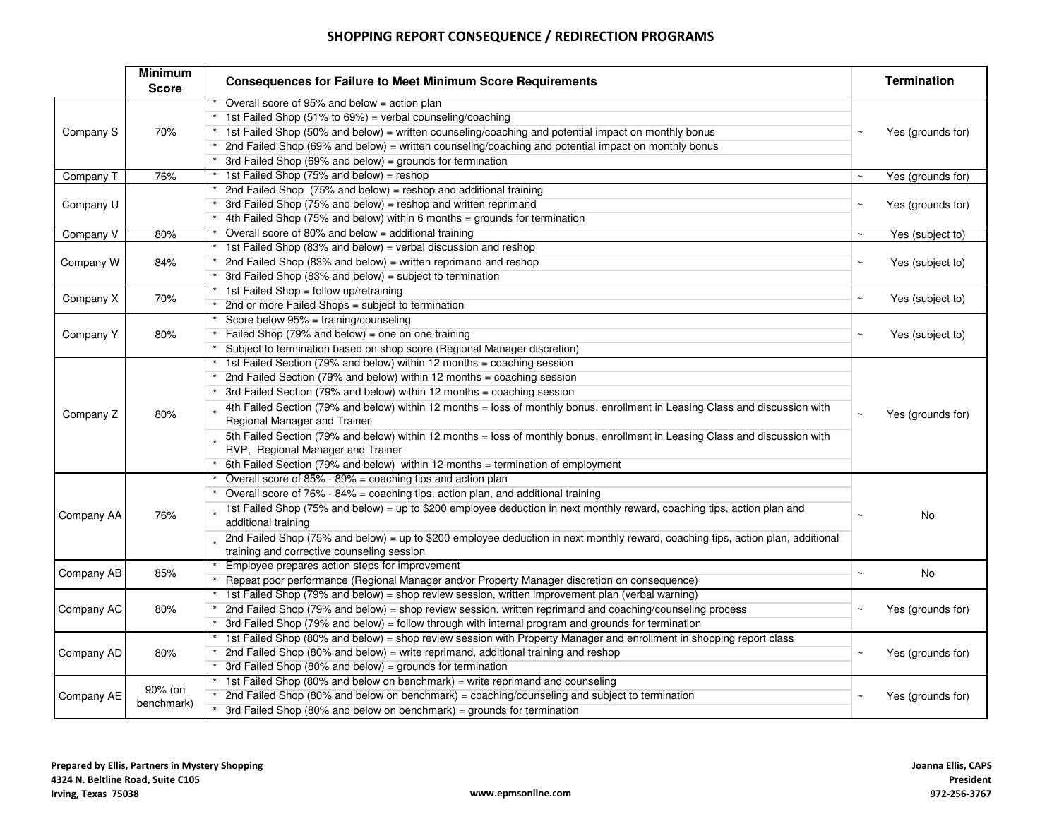## SHOPPING REPORT CONSEQUENCE / REDIRECTION PROGRAMS

|            | <b>Minimum</b><br><b>Score</b> | <b>Consequences for Failure to Meet Minimum Score Requirements</b>                                                                                                                                                                     |             | <b>Termination</b> |  |  |  |  |
|------------|--------------------------------|----------------------------------------------------------------------------------------------------------------------------------------------------------------------------------------------------------------------------------------|-------------|--------------------|--|--|--|--|
| Company S  | 70%                            | Overall score of 95% and below = action plan<br>1st Failed Shop (51% to 69%) = verbal counseling/coaching<br>* 1st Failed Shop (50% and below) = written counseling/coaching and potential impact on monthly bonus                     |             | Yes (grounds for)  |  |  |  |  |
|            |                                | * 2nd Failed Shop (69% and below) = written counseling/coaching and potential impact on monthly bonus<br>3rd Failed Shop (69% and below) = grounds for termination                                                                     |             |                    |  |  |  |  |
| Company T  | 76%                            | 1st Failed Shop (75% and below) = reshop                                                                                                                                                                                               | $\thicksim$ | Yes (grounds for)  |  |  |  |  |
|            |                                | 2nd Failed Shop (75% and below) = reshop and additional training                                                                                                                                                                       |             |                    |  |  |  |  |
| Company U  |                                | 3rd Failed Shop (75% and below) = reshop and written reprimand                                                                                                                                                                         |             | Yes (grounds for)  |  |  |  |  |
|            |                                | 4th Failed Shop (75% and below) within 6 months = grounds for termination                                                                                                                                                              |             |                    |  |  |  |  |
| Company V  | 80%                            | Overall score of 80% and below $=$ additional training                                                                                                                                                                                 | $\thicksim$ | Yes (subject to)   |  |  |  |  |
|            |                                | 1st Failed Shop (83% and below) = verbal discussion and reshop                                                                                                                                                                         |             |                    |  |  |  |  |
| Company W  | 84%                            | 2nd Failed Shop (83% and below) = written reprimand and reshop                                                                                                                                                                         | $\sim$      | Yes (subject to)   |  |  |  |  |
|            |                                | 3rd Failed Shop (83% and below) = subject to termination                                                                                                                                                                               |             |                    |  |  |  |  |
| Company X  | 70%                            | 1st Failed Shop = follow up/retraining                                                                                                                                                                                                 | $\sim$      | Yes (subject to)   |  |  |  |  |
|            |                                | 2nd or more Failed Shops = subject to termination                                                                                                                                                                                      |             |                    |  |  |  |  |
|            |                                | Score below 95% = training/counseling                                                                                                                                                                                                  |             |                    |  |  |  |  |
| Company Y  | 80%                            | Failed Shop (79% and below) = one on one training<br>Subject to termination based on shop score (Regional Manager discretion)                                                                                                          |             | Yes (subject to)   |  |  |  |  |
|            |                                |                                                                                                                                                                                                                                        |             |                    |  |  |  |  |
|            |                                | 1st Failed Section (79% and below) within 12 months = coaching session                                                                                                                                                                 |             |                    |  |  |  |  |
|            |                                | 2nd Failed Section (79% and below) within 12 months = coaching session                                                                                                                                                                 |             |                    |  |  |  |  |
|            |                                | 3rd Failed Section (79% and below) within 12 months = coaching session<br>4th Failed Section (79% and below) within 12 months = loss of monthly bonus, enrollment in Leasing Class and discussion with<br>Regional Manager and Trainer |             | Yes (grounds for)  |  |  |  |  |
| Company Z  | 80%                            |                                                                                                                                                                                                                                        |             |                    |  |  |  |  |
|            |                                | 5th Failed Section (79% and below) within 12 months = loss of monthly bonus, enrollment in Leasing Class and discussion with<br>RVP, Regional Manager and Trainer                                                                      |             |                    |  |  |  |  |
|            |                                | 6th Failed Section (79% and below) within 12 months = termination of employment                                                                                                                                                        |             |                    |  |  |  |  |
|            |                                | Overall score of 85% - 89% = coaching tips and action plan                                                                                                                                                                             |             |                    |  |  |  |  |
|            |                                | Overall score of 76% - 84% = coaching tips, action plan, and additional training                                                                                                                                                       |             |                    |  |  |  |  |
| Company AA | 76%                            | 1st Failed Shop (75% and below) = up to \$200 employee deduction in next monthly reward, coaching tips, action plan and<br>additional training                                                                                         |             | No                 |  |  |  |  |
|            |                                | 2nd Failed Shop (75% and below) = up to \$200 employee deduction in next monthly reward, coaching tips, action plan, additional<br>training and corrective counseling session                                                          |             |                    |  |  |  |  |
|            |                                | Employee prepares action steps for improvement                                                                                                                                                                                         | $\sim$      |                    |  |  |  |  |
| Company AB | 85%                            | Repeat poor performance (Regional Manager and/or Property Manager discretion on consequence)                                                                                                                                           |             | No                 |  |  |  |  |
|            |                                | 1st Failed Shop (79% and below) = shop review session, written improvement plan (verbal warning)                                                                                                                                       |             |                    |  |  |  |  |
| Company AC | 80%                            | 2nd Failed Shop (79% and below) = shop review session, written reprimand and coaching/counseling process                                                                                                                               | $\thicksim$ | Yes (grounds for)  |  |  |  |  |
|            |                                | 3rd Failed Shop (79% and below) = follow through with internal program and grounds for termination                                                                                                                                     |             |                    |  |  |  |  |
|            |                                | 1st Failed Shop (80% and below) = shop review session with Property Manager and enrollment in shopping report class                                                                                                                    |             |                    |  |  |  |  |
| Company AD | 80%                            | 2nd Failed Shop (80% and below) = write reprimand, additional training and reshop                                                                                                                                                      | $\sim$      | Yes (grounds for)  |  |  |  |  |
|            |                                | 3rd Failed Shop (80% and below) = grounds for termination                                                                                                                                                                              |             |                    |  |  |  |  |
|            |                                | 1st Failed Shop (80% and below on benchmark) = write reprimand and counseling                                                                                                                                                          |             |                    |  |  |  |  |
| Company AE | 90% (on                        | 2nd Failed Shop (80% and below on benchmark) = coaching/counseling and subject to termination                                                                                                                                          |             | Yes (grounds for)  |  |  |  |  |
|            | benchmark)                     | 3rd Failed Shop (80% and below on benchmark) = grounds for termination                                                                                                                                                                 |             |                    |  |  |  |  |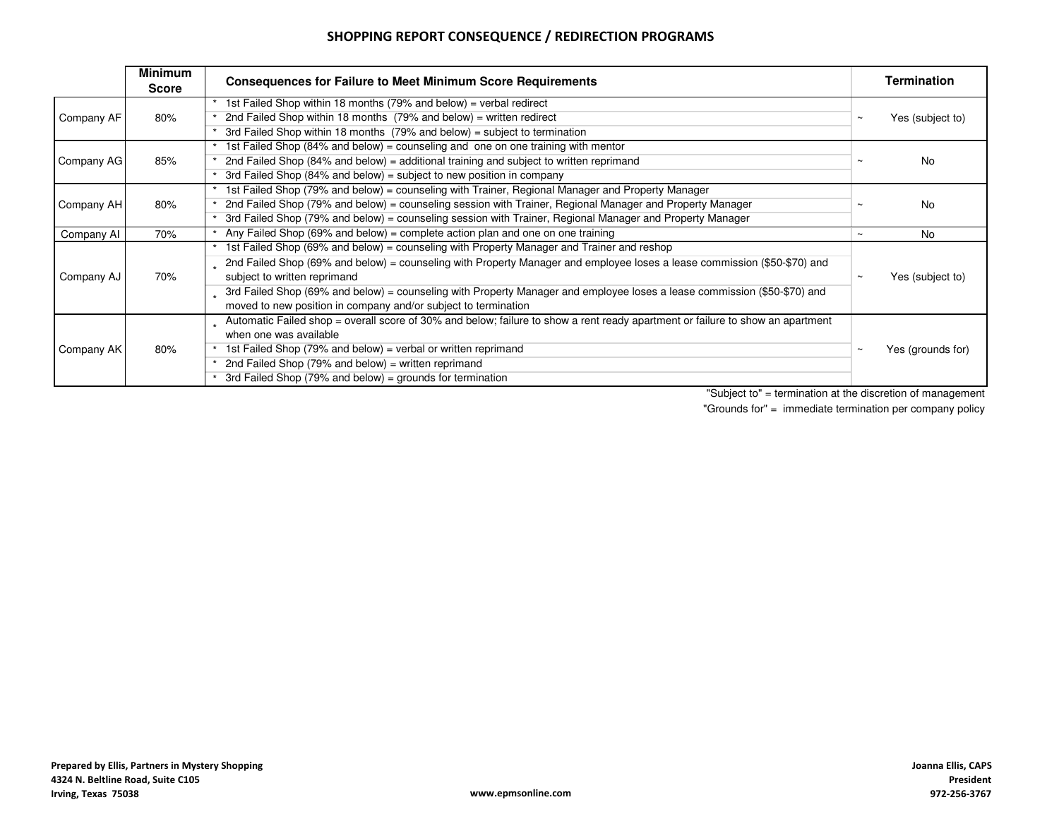### SHOPPING REPORT CONSEQUENCE / REDIRECTION PROGRAMS

|            | <b>Minimum</b><br><b>Score</b> | <b>Consequences for Failure to Meet Minimum Score Requirements</b>                                                                                                                         | Termination                 |  |  |  |
|------------|--------------------------------|--------------------------------------------------------------------------------------------------------------------------------------------------------------------------------------------|-----------------------------|--|--|--|
|            |                                | 1st Failed Shop within 18 months (79% and below) = verbal redirect                                                                                                                         |                             |  |  |  |
| Company AF | 80%                            | 2nd Failed Shop within 18 months (79% and below) = written redirect                                                                                                                        | Yes (subject to)<br>$\sim$  |  |  |  |
|            |                                | 3rd Failed Shop within 18 months $(79\%$ and below) = subject to termination                                                                                                               |                             |  |  |  |
|            |                                | 1st Failed Shop (84% and below) = counseling and one on one training with mentor                                                                                                           |                             |  |  |  |
| Company AG | 85%                            | 2nd Failed Shop (84% and below) = additional training and subject to written reprimand                                                                                                     | No.<br>$\sim$               |  |  |  |
|            |                                | 3rd Failed Shop (84% and below) = subject to new position in company                                                                                                                       |                             |  |  |  |
|            |                                | 1st Failed Shop (79% and below) = counseling with Trainer, Regional Manager and Property Manager                                                                                           |                             |  |  |  |
| Company AH | 80%                            | 2nd Failed Shop (79% and below) = counseling session with Trainer, Regional Manager and Property Manager                                                                                   | No.<br>$\sim$               |  |  |  |
|            |                                | 3rd Failed Shop (79% and below) = counseling session with Trainer, Regional Manager and Property Manager                                                                                   |                             |  |  |  |
| Company AI | 70%                            | Any Failed Shop (69% and below) = complete action plan and one on one training                                                                                                             | No<br>$\sim$                |  |  |  |
|            |                                | 1st Failed Shop (69% and below) = counseling with Property Manager and Trainer and reshop                                                                                                  |                             |  |  |  |
| Company AJ | 70%                            | 2nd Failed Shop (69% and below) = counseling with Property Manager and employee loses a lease commission (\$50-\$70) and<br>subject to written reprimand                                   | Yes (subject to)<br>$\sim$  |  |  |  |
|            |                                | 3rd Failed Shop (69% and below) = counseling with Property Manager and employee loses a lease commission (\$50-\$70) and<br>moved to new position in company and/or subject to termination |                             |  |  |  |
|            |                                | Automatic Failed shop = overall score of 30% and below; failure to show a rent ready apartment or failure to show an apartment<br>when one was available                                   |                             |  |  |  |
| Company AK | 80%                            | 1st Failed Shop (79% and below) = verbal or written reprimand                                                                                                                              | Yes (grounds for)<br>$\sim$ |  |  |  |
|            |                                | 2nd Failed Shop (79% and below) = written reprimand                                                                                                                                        |                             |  |  |  |
|            |                                | 3rd Failed Shop (79% and below) = grounds for termination                                                                                                                                  |                             |  |  |  |

"Subject to" = termination at the discretion of management

"Grounds for" = immediate termination per company policy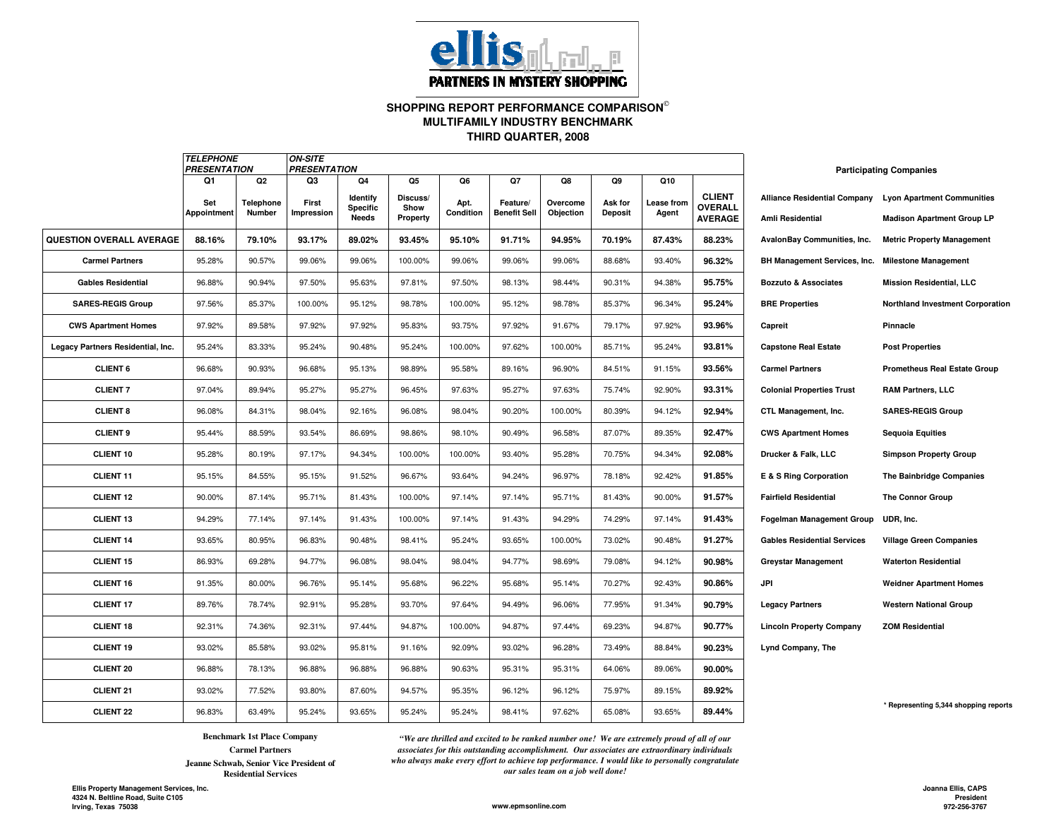

#### **SHOPPING REPORT PERFORMANCE COMPARISON THIRD QUARTER, 2008MULTIFAMILY INDUSTRY BENCHMARK**

|                                   | <b>TELEPHONE</b> |                | <b>ON-SITE</b><br><b>PRESENTATION</b><br><b>PRESENTATION</b> |                                 |                  |           |                     |           |                |                   |                                  |                                    | <b>Participating Companies</b>                          |  |
|-----------------------------------|------------------|----------------|--------------------------------------------------------------|---------------------------------|------------------|-----------|---------------------|-----------|----------------|-------------------|----------------------------------|------------------------------------|---------------------------------------------------------|--|
|                                   | Q1               | Q <sub>2</sub> | Q3                                                           | Q4                              | Q5               | Q6        | Q7                  | Q8        | Q9             | Q10               |                                  |                                    |                                                         |  |
|                                   | Set              | Telephone      | First                                                        | Identify                        | Discuss/         | Apt.      | Feature/            | Overcome  | Ask for        | <b>Lease from</b> | <b>CLIENT</b>                    |                                    | Alliance Residential Company Lyon Apartment Communities |  |
|                                   | Appointment      | Number         | Impression                                                   | <b>Specific</b><br><b>Needs</b> | Show<br>Property | Condition | <b>Benefit Sell</b> | Objection | <b>Deposit</b> | Agent             | <b>OVERALL</b><br><b>AVERAGE</b> | <b>Amli Residential</b>            | <b>Madison Apartment Group LP</b>                       |  |
| QUESTION OVERALL AVERAGE          | 88.16%           | 79.10%         | 93.17%                                                       | 89.02%                          | 93.45%           | 95.10%    | 91.71%              | 94.95%    | 70.19%         | 87.43%            | 88.23%                           | <b>AvalonBay Communities, Inc.</b> | <b>Metric Property Management</b>                       |  |
| <b>Carmel Partners</b>            | 95.28%           | 90.57%         | 99.06%                                                       | 99.06%                          | 100.00%          | 99.06%    | 99.06%              | 99.06%    | 88.68%         | 93.40%            | 96.32%                           | BH Management Services, Inc.       | <b>Milestone Management</b>                             |  |
| <b>Gables Residential</b>         | 96.88%           | 90.94%         | 97.50%                                                       | 95.63%                          | 97.81%           | 97.50%    | 98.13%              | 98.44%    | 90.31%         | 94.38%            | 95.75%                           | <b>Bozzuto &amp; Associates</b>    | <b>Mission Residential, LLC</b>                         |  |
| <b>SARES-REGIS Group</b>          | 97.56%           | 85.37%         | 100.00%                                                      | 95.12%                          | 98.78%           | 100.00%   | 95.12%              | 98.78%    | 85.37%         | 96.34%            | 95.24%                           | <b>BRE Properties</b>              | Northland Investment Corporation                        |  |
| <b>CWS Apartment Homes</b>        | 97.92%           | 89.58%         | 97.92%                                                       | 97.92%                          | 95.83%           | 93.75%    | 97.92%              | 91.67%    | 79.17%         | 97.92%            | 93.96%                           | Capreit                            | Pinnacle                                                |  |
| Legacy Partners Residential, Inc. | 95.24%           | 83.33%         | 95.24%                                                       | 90.48%                          | 95.24%           | 100.00%   | 97.62%              | 100.00%   | 85.71%         | 95.24%            | 93.81%                           | <b>Capstone Real Estate</b>        | <b>Post Properties</b>                                  |  |
| <b>CLIENT 6</b>                   | 96.68%           | 90.93%         | 96.68%                                                       | 95.13%                          | 98.89%           | 95.58%    | 89.16%              | 96.90%    | 84.51%         | 91.15%            | 93.56%                           | <b>Carmel Partners</b>             | <b>Prometheus Real Estate Group</b>                     |  |
| <b>CLIENT 7</b>                   | 97.04%           | 89.94%         | 95.27%                                                       | 95.27%                          | 96.45%           | 97.63%    | 95.27%              | 97.63%    | 75.74%         | 92.90%            | 93.31%                           | <b>Colonial Properties Trust</b>   | <b>RAM Partners, LLC</b>                                |  |
| <b>CLIENT 8</b>                   | 96.08%           | 84.31%         | 98.04%                                                       | 92.16%                          | 96.08%           | 98.04%    | 90.20%              | 100.00%   | 80.39%         | 94.12%            | 92.94%                           | CTL Management, Inc.               | <b>SARES-REGIS Group</b>                                |  |
| <b>CLIENT 9</b>                   | 95.44%           | 88.59%         | 93.54%                                                       | 86.69%                          | 98.86%           | 98.10%    | 90.49%              | 96.58%    | 87.07%         | 89.35%            | 92.47%                           | <b>CWS Apartment Homes</b>         | <b>Sequoia Equities</b>                                 |  |
| <b>CLIENT 10</b>                  | 95.28%           | 80.19%         | 97.17%                                                       | 94.34%                          | 100.00%          | 100.00%   | 93.40%              | 95.28%    | 70.75%         | 94.34%            | 92.08%                           | Drucker & Falk, LLC                | <b>Simpson Property Group</b>                           |  |
| <b>CLIENT 11</b>                  | 95.15%           | 84.55%         | 95.15%                                                       | 91.52%                          | 96.67%           | 93.64%    | 94.24%              | 96.97%    | 78.18%         | 92.42%            | 91.85%                           | E & S Ring Corporation             | The Bainbridge Companies                                |  |
| <b>CLIENT 12</b>                  | 90.00%           | 87.14%         | 95.71%                                                       | 81.43%                          | 100.00%          | 97.14%    | 97.14%              | 95.71%    | 81.43%         | 90.00%            | 91.57%                           | <b>Fairfield Residential</b>       | <b>The Connor Group</b>                                 |  |
| <b>CLIENT 13</b>                  | 94.29%           | 77.14%         | 97.14%                                                       | 91.43%                          | 100.00%          | 97.14%    | 91.43%              | 94.29%    | 74.29%         | 97.14%            | 91.43%                           | <b>Fogelman Management Group</b>   | UDR, Inc.                                               |  |
| <b>CLIENT 14</b>                  | 93.65%           | 80.95%         | 96.83%                                                       | 90.48%                          | 98.41%           | 95.24%    | 93.65%              | 100.00%   | 73.02%         | 90.48%            | 91.27%                           | <b>Gables Residential Services</b> | <b>Village Green Companies</b>                          |  |
| <b>CLIENT 15</b>                  | 86.93%           | 69.28%         | 94.77%                                                       | 96.08%                          | 98.04%           | 98.04%    | 94.77%              | 98.69%    | 79.08%         | 94.12%            | 90.98%                           | <b>Greystar Management</b>         | <b>Waterton Residential</b>                             |  |
| <b>CLIENT 16</b>                  | 91.35%           | 80.00%         | 96.76%                                                       | 95.14%                          | 95.68%           | 96.22%    | 95.68%              | 95.14%    | 70.27%         | 92.43%            | 90.86%                           | JPI                                | <b>Weidner Apartment Homes</b>                          |  |
| <b>CLIENT 17</b>                  | 89.76%           | 78.74%         | 92.91%                                                       | 95.28%                          | 93.70%           | 97.64%    | 94.49%              | 96.06%    | 77.95%         | 91.34%            | 90.79%                           | <b>Legacy Partners</b>             | <b>Western National Group</b>                           |  |
| <b>CLIENT 18</b>                  | 92.31%           | 74.36%         | 92.31%                                                       | 97.44%                          | 94.87%           | 100.00%   | 94.87%              | 97.44%    | 69.23%         | 94.87%            | 90.77%                           | <b>Lincoln Property Company</b>    | <b>ZOM Residential</b>                                  |  |
| <b>CLIENT 19</b>                  | 93.02%           | 85.58%         | 93.02%                                                       | 95.81%                          | 91.16%           | 92.09%    | 93.02%              | 96.28%    | 73.49%         | 88.84%            | 90.23%                           | Lynd Company, The                  |                                                         |  |
| <b>CLIENT 20</b>                  | 96.88%           | 78.13%         | 96.88%                                                       | 96.88%                          | 96.88%           | 90.63%    | 95.31%              | 95.31%    | 64.06%         | 89.06%            | 90.00%                           |                                    |                                                         |  |
| <b>CLIENT 21</b>                  | 93.02%           | 77.52%         | 93.80%                                                       | 87.60%                          | 94.57%           | 95.35%    | 96.12%              | 96.12%    | 75.97%         | 89.15%            | 89.92%                           |                                    |                                                         |  |
| <b>CLIENT 22</b>                  | 96.83%           | 63.49%         | 95.24%                                                       | 93.65%                          | 95.24%           | 95.24%    | 98.41%              | 97.62%    | 65.08%         | 93.65%            | 89.44%                           |                                    | * Representing 5,344 shopping reports                   |  |

**Benchmark 1st Place Company**

**Carmel PartnersJeanne Schwab, Senior Vice President of** 

*"We are thrilled and excited to be ranked number one! We are extremely proud of all of our associates for this outstanding accomplishment. Our associates are extraordinary individuals who always make every effort to achieve top performance. I would like to personally congratulate* **Residential Services** *our sales team on a job well done!* 

**Ellis Property Management Services, Inc.4324 N. Beltline Road, Suite C105Irving, Texas 75038**

**Joanna Ellis, CAPS President972-256-3767**